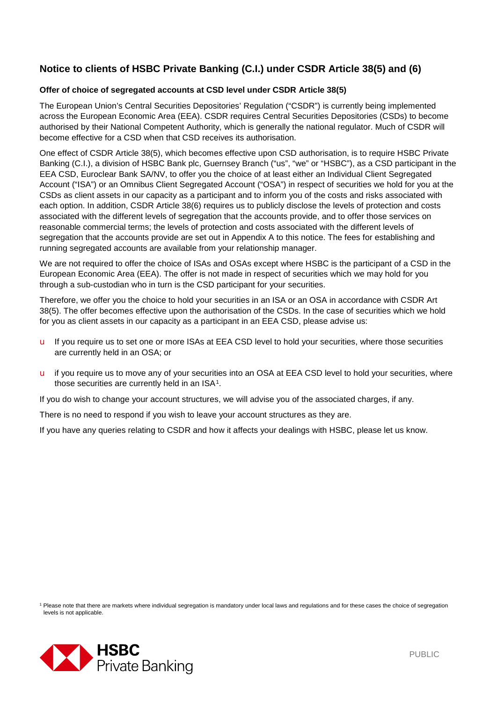# **Notice to clients of HSBC Private Banking (C.I.) under CSDR Article 38(5) and (6)**

#### **Offer of choice of segregated accounts at CSD level under CSDR Article 38(5)**

The European Union's Central Securities Depositories' Regulation ("CSDR") is currently being implemented across the European Economic Area (EEA). CSDR requires Central Securities Depositories (CSDs) to become authorised by their National Competent Authority, which is generally the national regulator. Much of CSDR will become effective for a CSD when that CSD receives its authorisation.

One effect of CSDR Article 38(5), which becomes effective upon CSD authorisation, is to require HSBC Private Banking (C.I.), a division of HSBC Bank plc, Guernsey Branch ("us", "we" or "HSBC"), as a CSD participant in the EEA CSD, Euroclear Bank SA/NV, to offer you the choice of at least either an Individual Client Segregated Account ("ISA") or an Omnibus Client Segregated Account ("OSA") in respect of securities we hold for you at the CSDs as client assets in our capacity as a participant and to inform you of the costs and risks associated with each option. In addition, CSDR Article 38(6) requires us to publicly disclose the levels of protection and costs associated with the different levels of segregation that the accounts provide, and to offer those services on reasonable commercial terms; the levels of protection and costs associated with the different levels of segregation that the accounts provide are set out in Appendix A to this notice. The fees for establishing and running segregated accounts are available from your relationship manager.

We are not required to offer the choice of ISAs and OSAs except where HSBC is the participant of a CSD in the European Economic Area (EEA). The offer is not made in respect of securities which we may hold for you through a sub-custodian who in turn is the CSD participant for your securities.

Therefore, we offer you the choice to hold your securities in an ISA or an OSA in accordance with CSDR Art 38(5). The offer becomes effective upon the authorisation of the CSDs. In the case of securities which we hold for you as client assets in our capacity as a participant in an EEA CSD, please advise us:

- u If you require us to set one or more ISAs at EEA CSD level to hold your securities, where those securities are currently held in an OSA; or
- u if you require us to move any of your securities into an OSA at EEA CSD level to hold your securities, where those securities are currently held in an ISA<sup>1</sup>.

If you do wish to change your account structures, we will advise you of the associated charges, if any.

There is no need to respond if you wish to leave your account structures as they are.

If you have any queries relating to CSDR and how it affects your dealings with HSBC, please let us know.

<span id="page-0-0"></span><sup>1</sup> Please note that there are markets where individual segregation is mandatory under local laws and regulations and for these cases the choice of segregation levels is not applicable.

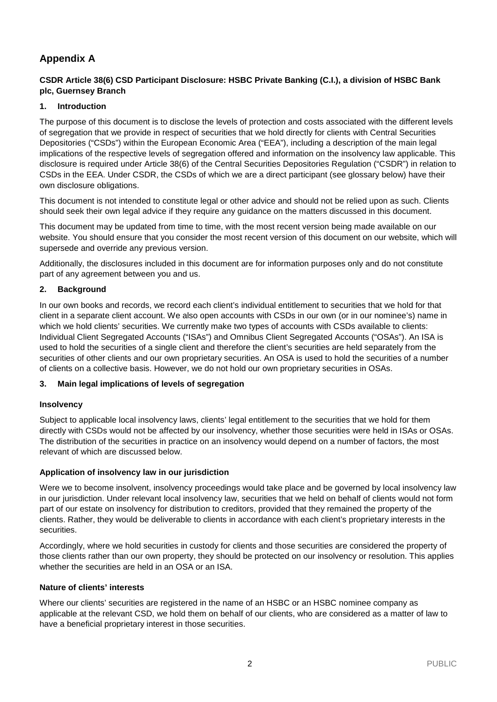# **Appendix A**

# **CSDR Article 38(6) CSD Participant Disclosure: HSBC Private Banking (C.I.), a division of HSBC Bank plc, Guernsey Branch**

# **1. Introduction**

The purpose of this document is to disclose the levels of protection and costs associated with the different levels of segregation that we provide in respect of securities that we hold directly for clients with Central Securities Depositories ("CSDs") within the European Economic Area ("EEA"), including a description of the main legal implications of the respective levels of segregation offered and information on the insolvency law applicable. This disclosure is required under Article 38(6) of the Central Securities Depositories Regulation ("CSDR") in relation to CSDs in the EEA. Under CSDR, the CSDs of which we are a direct participant (see glossary below) have their own disclosure obligations.

This document is not intended to constitute legal or other advice and should not be relied upon as such. Clients should seek their own legal advice if they require any guidance on the matters discussed in this document.

This document may be updated from time to time, with the most recent version being made available on our website. You should ensure that you consider the most recent version of this document on our website, which will supersede and override any previous version.

Additionally, the disclosures included in this document are for information purposes only and do not constitute part of any agreement between you and us.

## **2. Background**

In our own books and records, we record each client's individual entitlement to securities that we hold for that client in a separate client account. We also open accounts with CSDs in our own (or in our nominee's) name in which we hold clients' securities. We currently make two types of accounts with CSDs available to clients: Individual Client Segregated Accounts ("ISAs") and Omnibus Client Segregated Accounts ("OSAs"). An ISA is used to hold the securities of a single client and therefore the client's securities are held separately from the securities of other clients and our own proprietary securities. An OSA is used to hold the securities of a number of clients on a collective basis. However, we do not hold our own proprietary securities in OSAs.

#### **3. Main legal implications of levels of segregation**

#### **Insolvency**

Subject to applicable local insolvency laws, clients' legal entitlement to the securities that we hold for them directly with CSDs would not be affected by our insolvency, whether those securities were held in ISAs or OSAs. The distribution of the securities in practice on an insolvency would depend on a number of factors, the most relevant of which are discussed below.

# **Application of insolvency law in our jurisdiction**

Were we to become insolvent, insolvency proceedings would take place and be governed by local insolvency law in our jurisdiction. Under relevant local insolvency law, securities that we held on behalf of clients would not form part of our estate on insolvency for distribution to creditors, provided that they remained the property of the clients. Rather, they would be deliverable to clients in accordance with each client's proprietary interests in the securities.

Accordingly, where we hold securities in custody for clients and those securities are considered the property of those clients rather than our own property, they should be protected on our insolvency or resolution. This applies whether the securities are held in an OSA or an ISA.

#### **Nature of clients' interests**

Where our clients' securities are registered in the name of an HSBC or an HSBC nominee company as applicable at the relevant CSD, we hold them on behalf of our clients, who are considered as a matter of law to have a beneficial proprietary interest in those securities.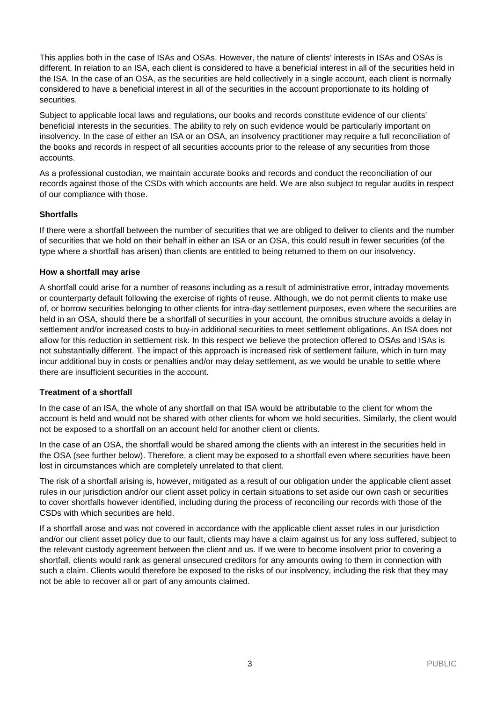This applies both in the case of ISAs and OSAs. However, the nature of clients' interests in ISAs and OSAs is different. In relation to an ISA, each client is considered to have a beneficial interest in all of the securities held in the ISA. In the case of an OSA, as the securities are held collectively in a single account, each client is normally considered to have a beneficial interest in all of the securities in the account proportionate to its holding of securities.

Subject to applicable local laws and regulations, our books and records constitute evidence of our clients' beneficial interests in the securities. The ability to rely on such evidence would be particularly important on insolvency. In the case of either an ISA or an OSA, an insolvency practitioner may require a full reconciliation of the books and records in respect of all securities accounts prior to the release of any securities from those accounts.

As a professional custodian, we maintain accurate books and records and conduct the reconciliation of our records against those of the CSDs with which accounts are held. We are also subject to regular audits in respect of our compliance with those.

## **Shortfalls**

If there were a shortfall between the number of securities that we are obliged to deliver to clients and the number of securities that we hold on their behalf in either an ISA or an OSA, this could result in fewer securities (of the type where a shortfall has arisen) than clients are entitled to being returned to them on our insolvency.

#### **How a shortfall may arise**

A shortfall could arise for a number of reasons including as a result of administrative error, intraday movements or counterparty default following the exercise of rights of reuse. Although, we do not permit clients to make use of, or borrow securities belonging to other clients for intra-day settlement purposes, even where the securities are held in an OSA, should there be a shortfall of securities in your account, the omnibus structure avoids a delay in settlement and/or increased costs to buy-in additional securities to meet settlement obligations. An ISA does not allow for this reduction in settlement risk. In this respect we believe the protection offered to OSAs and ISAs is not substantially different. The impact of this approach is increased risk of settlement failure, which in turn may incur additional buy in costs or penalties and/or may delay settlement, as we would be unable to settle where there are insufficient securities in the account.

#### **Treatment of a shortfall**

In the case of an ISA, the whole of any shortfall on that ISA would be attributable to the client for whom the account is held and would not be shared with other clients for whom we hold securities. Similarly, the client would not be exposed to a shortfall on an account held for another client or clients.

In the case of an OSA, the shortfall would be shared among the clients with an interest in the securities held in the OSA (see further below). Therefore, a client may be exposed to a shortfall even where securities have been lost in circumstances which are completely unrelated to that client.

The risk of a shortfall arising is, however, mitigated as a result of our obligation under the applicable client asset rules in our jurisdiction and/or our client asset policy in certain situations to set aside our own cash or securities to cover shortfalls however identified, including during the process of reconciling our records with those of the CSDs with which securities are held.

If a shortfall arose and was not covered in accordance with the applicable client asset rules in our jurisdiction and/or our client asset policy due to our fault, clients may have a claim against us for any loss suffered, subject to the relevant custody agreement between the client and us. If we were to become insolvent prior to covering a shortfall, clients would rank as general unsecured creditors for any amounts owing to them in connection with such a claim. Clients would therefore be exposed to the risks of our insolvency, including the risk that they may not be able to recover all or part of any amounts claimed.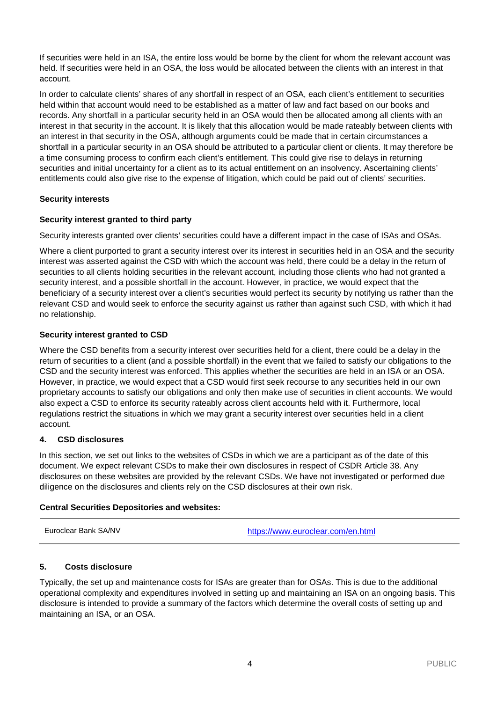If securities were held in an ISA, the entire loss would be borne by the client for whom the relevant account was held. If securities were held in an OSA, the loss would be allocated between the clients with an interest in that account.

In order to calculate clients' shares of any shortfall in respect of an OSA, each client's entitlement to securities held within that account would need to be established as a matter of law and fact based on our books and records. Any shortfall in a particular security held in an OSA would then be allocated among all clients with an interest in that security in the account. It is likely that this allocation would be made rateably between clients with an interest in that security in the OSA, although arguments could be made that in certain circumstances a shortfall in a particular security in an OSA should be attributed to a particular client or clients. It may therefore be a time consuming process to confirm each client's entitlement. This could give rise to delays in returning securities and initial uncertainty for a client as to its actual entitlement on an insolvency. Ascertaining clients' entitlements could also give rise to the expense of litigation, which could be paid out of clients' securities.

# **Security interests**

## **Security interest granted to third party**

Security interests granted over clients' securities could have a different impact in the case of ISAs and OSAs.

Where a client purported to grant a security interest over its interest in securities held in an OSA and the security interest was asserted against the CSD with which the account was held, there could be a delay in the return of securities to all clients holding securities in the relevant account, including those clients who had not granted a security interest, and a possible shortfall in the account. However, in practice, we would expect that the beneficiary of a security interest over a client's securities would perfect its security by notifying us rather than the relevant CSD and would seek to enforce the security against us rather than against such CSD, with which it had no relationship.

## **Security interest granted to CSD**

Where the CSD benefits from a security interest over securities held for a client, there could be a delay in the return of securities to a client (and a possible shortfall) in the event that we failed to satisfy our obligations to the CSD and the security interest was enforced. This applies whether the securities are held in an ISA or an OSA. However, in practice, we would expect that a CSD would first seek recourse to any securities held in our own proprietary accounts to satisfy our obligations and only then make use of securities in client accounts. We would also expect a CSD to enforce its security rateably across client accounts held with it. Furthermore, local regulations restrict the situations in which we may grant a security interest over securities held in a client account.

#### **4. CSD disclosures**

In this section, we set out links to the websites of CSDs in which we are a participant as of the date of this document. We expect relevant CSDs to make their own disclosures in respect of CSDR Article 38. Any disclosures on these websites are provided by the relevant CSDs. We have not investigated or performed due diligence on the disclosures and clients rely on the CSD disclosures at their own risk.

#### **Central Securities Depositories and websites:**

Euroclear Bank SA/NV <https://www.euroclear.com/en.html>

#### **5. Costs disclosure**

Typically, the set up and maintenance costs for ISAs are greater than for OSAs. This is due to the additional operational complexity and expenditures involved in setting up and maintaining an ISA on an ongoing basis. This disclosure is intended to provide a summary of the factors which determine the overall costs of setting up and maintaining an ISA, or an OSA.